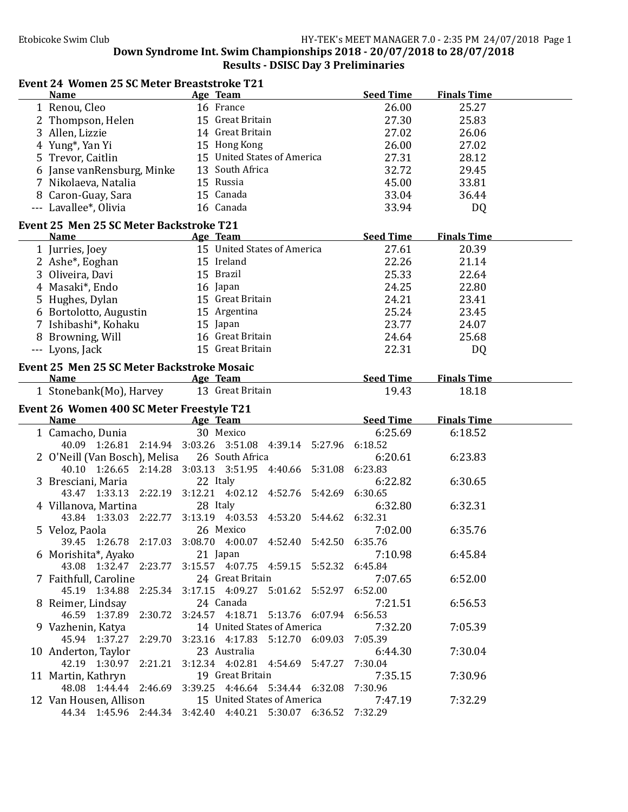### Event 24 Women 25 SC Meter Breaststroke T21

| <b>Name</b>                                       | Age Team                                                                                     | <b>Seed Time</b> | <b>Finals Time</b> |  |
|---------------------------------------------------|----------------------------------------------------------------------------------------------|------------------|--------------------|--|
| 1 Renou, Cleo                                     | 16 France                                                                                    | 26.00            | 25.27              |  |
| 2 Thompson, Helen                                 | 15 Great Britain                                                                             | 27.30            | 25.83              |  |
| 3 Allen, Lizzie                                   | 14 Great Britain                                                                             | 27.02            | 26.06              |  |
| 4 Yung*, Yan Yi                                   | 15 Hong Kong                                                                                 | 26.00            | 27.02              |  |
| 5 Trevor, Caitlin                                 | 15 United States of America                                                                  | 27.31            | 28.12              |  |
|                                                   | 13 South Africa                                                                              | 32.72            |                    |  |
| 6 Janse vanRensburg, Minke                        |                                                                                              |                  | 29.45              |  |
| 7 Nikolaeva, Natalia                              | 15 Russia                                                                                    | 45.00            | 33.81              |  |
| 8 Caron-Guay, Sara                                | 15 Canada                                                                                    | 33.04            | 36.44              |  |
| --- Lavallee*, Olivia                             | 16 Canada                                                                                    | 33.94            | DQ                 |  |
| Event 25 Men 25 SC Meter Backstroke T21           |                                                                                              |                  |                    |  |
| <b>Name</b>                                       | Age Team                                                                                     | <b>Seed Time</b> | <b>Finals Time</b> |  |
| 1 Jurries, Joey                                   | 15 United States of America                                                                  | 27.61            | 20.39              |  |
|                                                   |                                                                                              |                  |                    |  |
| 2 Ashe <sup>*</sup> , Eoghan                      | 15 Ireland                                                                                   | 22.26            | 21.14              |  |
| 3 Oliveira, Davi                                  | 15 Brazil                                                                                    | 25.33            | 22.64              |  |
| 4 Masaki*, Endo                                   | 16 Japan                                                                                     | 24.25            | 22.80              |  |
| 5 Hughes, Dylan                                   | 15 Great Britain                                                                             | 24.21            | 23.41              |  |
| 6 Bortolotto, Augustin                            | 15 Argentina                                                                                 | 25.24            | 23.45              |  |
| 7 Ishibashi*, Kohaku                              | 15 Japan                                                                                     | 23.77            | 24.07              |  |
| 8 Browning, Will                                  | 16 Great Britain                                                                             | 24.64            | 25.68              |  |
| --- Lyons, Jack                                   | 15 Great Britain                                                                             | 22.31            | DQ                 |  |
|                                                   |                                                                                              |                  |                    |  |
| <b>Event 25 Men 25 SC Meter Backstroke Mosaic</b> |                                                                                              |                  |                    |  |
| <b>Name</b>                                       | Age Team                                                                                     | <b>Seed Time</b> | <b>Finals Time</b> |  |
| 1 Stonebank(Mo), Harvey                           | 13 Great Britain                                                                             | 19.43            | 18.18              |  |
|                                                   |                                                                                              |                  |                    |  |
|                                                   |                                                                                              |                  |                    |  |
| Event 26 Women 400 SC Meter Freestyle T21         |                                                                                              |                  |                    |  |
| <b>Name</b>                                       | Age Team                                                                                     | <b>Seed Time</b> | <b>Finals Time</b> |  |
| 1 Camacho, Dunia                                  | 30 Mexico                                                                                    | 6:25.69          | 6:18.52            |  |
|                                                   | 40.09 1:26.81 2:14.94 3:03.26 3:51.08 4:39.14 5:27.96                                        | 6:18.52          |                    |  |
| 2 O'Neill (Van Bosch), Melisa                     | 26 South Africa                                                                              | 6:20.61          | 6:23.83            |  |
|                                                   | 40.10 1:26.65 2:14.28 3:03.13 3:51.95 4:40.66 5:31.08 6:23.83                                |                  |                    |  |
| 3 Bresciani, Maria                                | 22 Italy                                                                                     | 6:22.82          | 6:30.65            |  |
|                                                   | 43.47 1:33.13 2:22.19 3:12.21 4:02.12 4:52.76 5:42.69                                        | 6:30.65          |                    |  |
| 4 Villanova, Martina                              | 28 Italy                                                                                     | 6:32.80          | 6:32.31            |  |
| 43.84 1:33.03 2:22.77 3:13.19 4:03.53 4:53.20     | 5:44.62                                                                                      | 6:32.31          |                    |  |
| 5 Veloz, Paola                                    | 26 Mexico                                                                                    | 7:02.00          | 6:35.76            |  |
|                                                   | 39.45 1:26.78 2:17.03 3:08.70 4:00.07 4:52.40 5:42.50 6:35.76                                |                  |                    |  |
|                                                   | 21 Japan                                                                                     | 7:10.98          | 6:45.84            |  |
| 6 Morishita*, Ayako                               |                                                                                              |                  |                    |  |
|                                                   | 43.08 1:32.47 2:23.77 3:15.57 4:07.75 4:59.15 5:52.32 6:45.84                                |                  |                    |  |
| 7 Faithfull, Caroline                             | 24 Great Britain                                                                             | 7:07.65          | 6:52.00            |  |
|                                                   | 45.19 1:34.88 2:25.34 3:17.15 4:09.27 5:01.62 5:52.97 6:52.00                                |                  |                    |  |
| 8 Reimer, Lindsay                                 | 24 Canada                                                                                    | 7:21.51          | 6:56.53            |  |
|                                                   | 46.59 1:37.89 2:30.72 3:24.57 4:18.71 5:13.76 6:07.94 6:56.53                                |                  |                    |  |
| 9 Vazhenin, Katya                                 | 14 United States of America                                                                  | 7:32.20          | 7:05.39            |  |
|                                                   | 45.94 1:37.27 2:29.70 3:23.16 4:17.83 5:12.70 6:09.03 7:05.39                                |                  |                    |  |
| 10 Anderton, Taylor                               | 23 Australia                                                                                 | 6:44.30          | 7:30.04            |  |
|                                                   | 42.19 1:30.97 2:21.21 3:12.34 4:02.81 4:54.69 5:47.27 7:30.04                                |                  |                    |  |
| 11 Martin, Kathryn                                | 19 Great Britain                                                                             | 7:35.15          | 7:30.96            |  |
|                                                   | 48.08 1:44.44 2:46.69 3:39.25 4:46.64 5:34.44 6:32.08 7:30.96                                |                  |                    |  |
| 12 Van Housen, Allison                            | 15 United States of America<br>44.34 1:45.96 2:44.34 3:42.40 4:40.21 5:30.07 6:36.52 7:32.29 | 7:47.19          | 7:32.29            |  |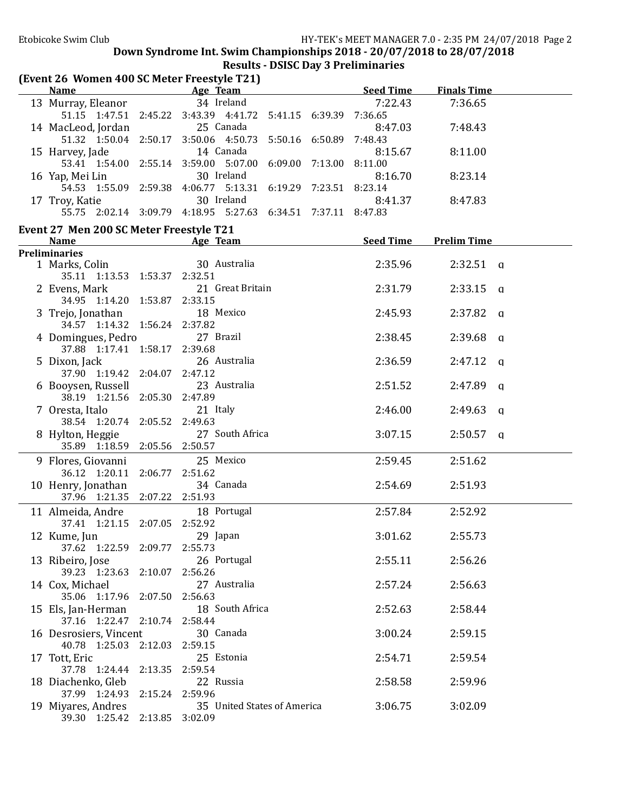| (Event 26 Women 400 SC Meter Freestyle T21)                                                                                                                                                                                    |                                                                                                                                                                                                                                |                  |                    |  |
|--------------------------------------------------------------------------------------------------------------------------------------------------------------------------------------------------------------------------------|--------------------------------------------------------------------------------------------------------------------------------------------------------------------------------------------------------------------------------|------------------|--------------------|--|
| <b>Name</b>                                                                                                                                                                                                                    | <b>Example 2018</b> Age Team <b>Age 2018</b>                                                                                                                                                                                   | Seed Time        | <b>Finals Time</b> |  |
| 13 Murray, Eleanor                                                                                                                                                                                                             | 34 Ireland                                                                                                                                                                                                                     | 7:22.43          | 7:36.65            |  |
|                                                                                                                                                                                                                                | 51.15 1:47.51 2:45.22 3:43.39 4:41.72 5:41.15 6:39.39 7:36.65                                                                                                                                                                  |                  |                    |  |
| 14 MacLeod, Jordan                                                                                                                                                                                                             | 25 Canada                                                                                                                                                                                                                      | 8:47.03          | 7:48.43            |  |
|                                                                                                                                                                                                                                | 51.32 1:50.04 2:50.17 3:50.06 4:50.73 5:50.16 6:50.89 7:48.43                                                                                                                                                                  |                  |                    |  |
| 15 Harvey, Jade                                                                                                                                                                                                                | 14 Canada                                                                                                                                                                                                                      | 8:15.67          | 8:11.00            |  |
|                                                                                                                                                                                                                                | 53.41 1:54.00 2:55.14 3:59.00 5:07.00 6:09.00 7:13.00 8:11.00                                                                                                                                                                  |                  |                    |  |
| 16 Yap, Mei Lin                                                                                                                                                                                                                | 30 Ireland                                                                                                                                                                                                                     | 8:16.70          | 8:23.14            |  |
|                                                                                                                                                                                                                                | 54.53 1:55.09 2:59.38 4:06.77 5:13.31 6:19.29 7:23.51 8:23.14                                                                                                                                                                  |                  |                    |  |
| 17 Troy, Katie                                                                                                                                                                                                                 | 30 Ireland                                                                                                                                                                                                                     | 8:41.37          | 8:47.83            |  |
|                                                                                                                                                                                                                                | 55.75 2:02.14 3:09.79 4:18.95 5:27.63 6:34.51 7:37.11 8:47.83                                                                                                                                                                  |                  |                    |  |
| Event 27 Men 200 SC Meter Freestyle T21                                                                                                                                                                                        |                                                                                                                                                                                                                                |                  |                    |  |
| Name and the state of the state of the state of the state of the state of the state of the state of the state of the state of the state of the state of the state of the state of the state of the state of the state of the s | Age Team Manual Property of Team Manual Property of Team Manual Property of Team Manual Property of Team Manual Property of Team Manual Property of Team Manual Property of Team Manual Property of Team Manual Property of Te | <b>Seed Time</b> | <b>Prelim Time</b> |  |
| <b>Preliminaries</b>                                                                                                                                                                                                           |                                                                                                                                                                                                                                |                  |                    |  |
| 1 Marks, Colin<br>35.11 1:13.53 1:53.37 2:32.51                                                                                                                                                                                | 30 Australia                                                                                                                                                                                                                   | 2:35.96          | $2:32.51$ q        |  |
| 2 Evens, Mark                                                                                                                                                                                                                  | 21 Great Britain                                                                                                                                                                                                               | 2:31.79          | $2:33.15$ a        |  |
| 34.95 1:14.20 1:53.87 2:33.15                                                                                                                                                                                                  |                                                                                                                                                                                                                                |                  |                    |  |
| 3 Trejo, Jonathan                                                                                                                                                                                                              | 18 Mexico                                                                                                                                                                                                                      | 2:45.93          | $2:37.82$ a        |  |
| 34.57 1:14.32 1:56.24 2:37.82                                                                                                                                                                                                  |                                                                                                                                                                                                                                |                  |                    |  |
| 4 Domingues, Pedro                                                                                                                                                                                                             | 27 Brazil                                                                                                                                                                                                                      | 2:38.45          | $2:39.68$ a        |  |
| 37.88 1:17.41 1:58.17 2:39.68                                                                                                                                                                                                  |                                                                                                                                                                                                                                |                  |                    |  |
| 5 Dixon, Jack                                                                                                                                                                                                                  | 26 Australia                                                                                                                                                                                                                   | 2:36.59          | $2:47.12$ q        |  |
| 37.90 1:19.42 2:04.07 2:47.12                                                                                                                                                                                                  |                                                                                                                                                                                                                                |                  |                    |  |
| 6 Booysen, Russell                                                                                                                                                                                                             | 23 Australia                                                                                                                                                                                                                   | 2:51.52          | $2:47.89$ q        |  |
| 38.19 1:21.56 2:05.30 2:47.89                                                                                                                                                                                                  |                                                                                                                                                                                                                                |                  |                    |  |
| 7 Oresta, Italo                                                                                                                                                                                                                | 21 Italy                                                                                                                                                                                                                       | 2:46.00          | $2:49.63$ q        |  |
| 38.54 1:20.74 2:05.52 2:49.63                                                                                                                                                                                                  |                                                                                                                                                                                                                                |                  |                    |  |
| 8 Hylton, Heggie                                                                                                                                                                                                               | 27 South Africa                                                                                                                                                                                                                | 3:07.15          | $2:50.57$ q        |  |
| 35.89 1:18.59 2:05.56 2:50.57                                                                                                                                                                                                  |                                                                                                                                                                                                                                |                  |                    |  |
| 9 Flores, Giovanni                                                                                                                                                                                                             | 25 Mexico                                                                                                                                                                                                                      | 2:59.45          | 2:51.62            |  |
| 36.12 1:20.11 2:06.77 2:51.62                                                                                                                                                                                                  |                                                                                                                                                                                                                                |                  |                    |  |
| 10 Henry, Jonathan                                                                                                                                                                                                             | 34 Canada                                                                                                                                                                                                                      | 2:54.69          | 2:51.93            |  |
| 37.96 1:21.35 2:07.22 2:51.93                                                                                                                                                                                                  |                                                                                                                                                                                                                                |                  |                    |  |
| 11 Almeida, Andre 18 Portugal                                                                                                                                                                                                  |                                                                                                                                                                                                                                | 2:57.84          | 2:52.92            |  |
| 37.41 1:21.15 2:07.05 2:52.92                                                                                                                                                                                                  |                                                                                                                                                                                                                                |                  |                    |  |
| 12 Kume, Jun                                                                                                                                                                                                                   | 29 Japan                                                                                                                                                                                                                       | 3:01.62          | 2:55.73            |  |
| 37.62 1:22.59 2:09.77                                                                                                                                                                                                          | 2:55.73                                                                                                                                                                                                                        |                  |                    |  |
| 13 Ribeiro, Jose                                                                                                                                                                                                               | 26 Portugal                                                                                                                                                                                                                    | 2:55.11          | 2:56.26            |  |
| 39.23 1:23.63 2:10.07                                                                                                                                                                                                          | 2:56.26                                                                                                                                                                                                                        |                  |                    |  |
| 14 Cox, Michael                                                                                                                                                                                                                | 27 Australia                                                                                                                                                                                                                   | 2:57.24          | 2:56.63            |  |
| 35.06 1:17.96 2:07.50                                                                                                                                                                                                          | 2:56.63                                                                                                                                                                                                                        |                  |                    |  |
| 15 Els, Jan-Herman                                                                                                                                                                                                             | 18 South Africa                                                                                                                                                                                                                | 2:52.63          | 2:58.44            |  |
| 37.16 1:22.47 2:10.74                                                                                                                                                                                                          | 2:58.44                                                                                                                                                                                                                        |                  |                    |  |
| 16 Desrosiers, Vincent                                                                                                                                                                                                         | 30 Canada                                                                                                                                                                                                                      | 3:00.24          | 2:59.15            |  |
| 40.78 1:25.03 2:12.03                                                                                                                                                                                                          | 2:59.15                                                                                                                                                                                                                        |                  |                    |  |
| 17 Tott, Eric                                                                                                                                                                                                                  | 25 Estonia                                                                                                                                                                                                                     | 2:54.71          | 2:59.54            |  |
| 37.78 1:24.44 2:13.35                                                                                                                                                                                                          | 2:59.54                                                                                                                                                                                                                        |                  |                    |  |
| 18 Diachenko, Gleb<br>37.99 1:24.93 2:15.24 2:59.96                                                                                                                                                                            | 22 Russia                                                                                                                                                                                                                      | 2:58.58          | 2:59.96            |  |
| 19 Miyares, Andres                                                                                                                                                                                                             | 35 United States of America                                                                                                                                                                                                    | 3:06.75          | 3:02.09            |  |
| 39.30 1:25.42 2:13.85 3:02.09                                                                                                                                                                                                  |                                                                                                                                                                                                                                |                  |                    |  |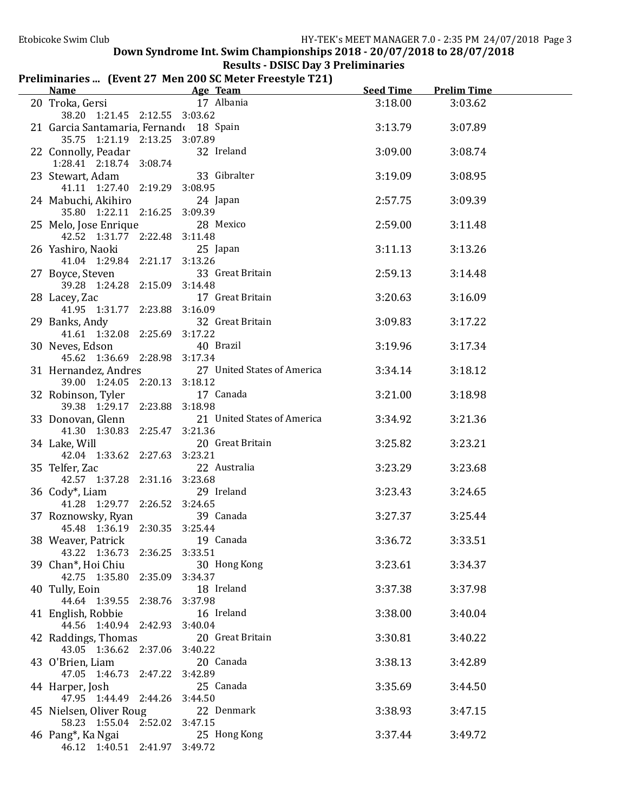# Results - DSISC Day 3 Preliminaries

## Preliminaries ... (Event 27 Men 200 SC Meter Freestyle T21)

| <b>Name</b>                                            | Age Team                    | <b>Seed Time</b> | <b>Prelim Time</b> |  |
|--------------------------------------------------------|-----------------------------|------------------|--------------------|--|
| 20 Troka, Gersi 17 Albania                             |                             | 3:18.00          | 3:03.62            |  |
| 38.20 1:21.45 2:12.55 3:03.62                          |                             |                  |                    |  |
| 21 Garcia Santamaria, Fernando 18 Spain                |                             | 3:13.79          | 3:07.89            |  |
| 35.75 1:21.19 2:13.25 3:07.89                          |                             |                  |                    |  |
| 22 Connolly, Peadar                                    | 32 Ireland                  | 3:09.00          | 3:08.74            |  |
| 1:28.41 2:18.74 3:08.74                                |                             |                  |                    |  |
| 23 Stewart, Adam                                       | 33 Gibralter                | 3:19.09          | 3:08.95            |  |
| 41.11 1:27.40 2:19.29 3:08.95                          |                             |                  |                    |  |
| 24 Mabuchi, Akihiro                                    | 24 Japan                    | 2:57.75          | 3:09.39            |  |
| 35.80 1:22.11 2:16.25 3:09.39                          | 28 Mexico                   |                  |                    |  |
| 25 Melo, Jose Enrique<br>42.52 1:31.77 2:22.48 3:11.48 |                             | 2:59.00          | 3:11.48            |  |
| 26 Yashiro, Naoki                                      | 25 Japan                    | 3:11.13          | 3:13.26            |  |
| 41.04 1:29.84 2:21.17 3:13.26                          |                             |                  |                    |  |
| 27 Boyce, Steven                                       | 33 Great Britain            | 2:59.13          | 3:14.48            |  |
| 39.28 1:24.28 2:15.09 3:14.48                          |                             |                  |                    |  |
| 28 Lacey, Zac                                          | 17 Great Britain            | 3:20.63          | 3:16.09            |  |
| 41.95 1:31.77 2:23.88 3:16.09                          |                             |                  |                    |  |
| 29 Banks, Andy                                         | 32 Great Britain            | 3:09.83          | 3:17.22            |  |
| 41.61 1:32.08 2:25.69 3:17.22                          |                             |                  |                    |  |
| 30 Neves, Edson                                        | 40 Brazil                   | 3:19.96          | 3:17.34            |  |
| 45.62 1:36.69 2:28.98 3:17.34                          |                             |                  |                    |  |
| 31 Hernandez, Andres                                   | 27 United States of America | 3:34.14          | 3:18.12            |  |
| 39.00 1:24.05 2:20.13 3:18.12                          |                             |                  |                    |  |
| 32 Robinson, Tyler                                     | 17 Canada                   | 3:21.00          | 3:18.98            |  |
| 39.38 1:29.17 2:23.88 3:18.98                          |                             |                  |                    |  |
| 33 Donovan, Glenn                                      | 21 United States of America | 3:34.92          | 3:21.36            |  |
| 41.30 1:30.83 2:25.47 3:21.36                          |                             |                  |                    |  |
| 34 Lake, Will                                          | 20 Great Britain            | 3:25.82          | 3:23.21            |  |
| 42.04 1:33.62 2:27.63 3:23.21                          |                             |                  |                    |  |
| 35 Telfer, Zac                                         | 22 Australia                | 3:23.29          | 3:23.68            |  |
| 42.57 1:37.28 2:31.16 3:23.68                          |                             |                  |                    |  |
| 36 Cody <sup>*</sup> , Liam                            | 29 Ireland                  | 3:23.43          | 3:24.65            |  |
| 41.28 1:29.77 2:26.52 3:24.65                          |                             |                  |                    |  |
| 37 Roznowsky, Ryan<br>45.48 1:36.19 2:30.35 3:25.44    | 39 Canada                   | 3:27.37          | 3:25.44            |  |
| 38 Weaver, Patrick                                     | 19 Canada                   | 3:36.72          | 3:33.51            |  |
| 43.22 1:36.73 2:36.25 3:33.51                          |                             |                  |                    |  |
| 39 Chan*, Hoi Chiu                                     | 30 Hong Kong                | 3:23.61          | 3:34.37            |  |
| 42.75 1:35.80 2:35.09 3:34.37                          |                             |                  |                    |  |
| 40 Tully, Eoin                                         | 18 Ireland                  | 3:37.38          | 3:37.98            |  |
| 44.64 1:39.55 2:38.76 3:37.98                          |                             |                  |                    |  |
| 41 English, Robbie                                     | 16 Ireland                  | 3:38.00          | 3:40.04            |  |
| 44.56 1:40.94 2:42.93 3:40.04                          |                             |                  |                    |  |
| 42 Raddings, Thomas                                    | 20 Great Britain            | 3:30.81          | 3:40.22            |  |
| 43.05 1:36.62 2:37.06 3:40.22                          |                             |                  |                    |  |
| 43 O'Brien, Liam                                       | 20 Canada                   | 3:38.13          | 3:42.89            |  |
| 47.05 1:46.73 2:47.22 3:42.89                          |                             |                  |                    |  |
| 44 Harper, Josh                                        | 25 Canada                   | 3:35.69          | 3:44.50            |  |
| 47.95 1:44.49 2:44.26 3:44.50                          |                             |                  |                    |  |
| 45 Nielsen, Oliver Roug                                | 22 Denmark                  | 3:38.93          | 3:47.15            |  |
| 58.23 1:55.04 2:52.02 3:47.15                          |                             |                  |                    |  |
| 46 Pang <sup>*</sup> , Ka Ngai                         | 25 Hong Kong                | 3:37.44          | 3:49.72            |  |
| 46.12 1:40.51 2:41.97 3:49.72                          |                             |                  |                    |  |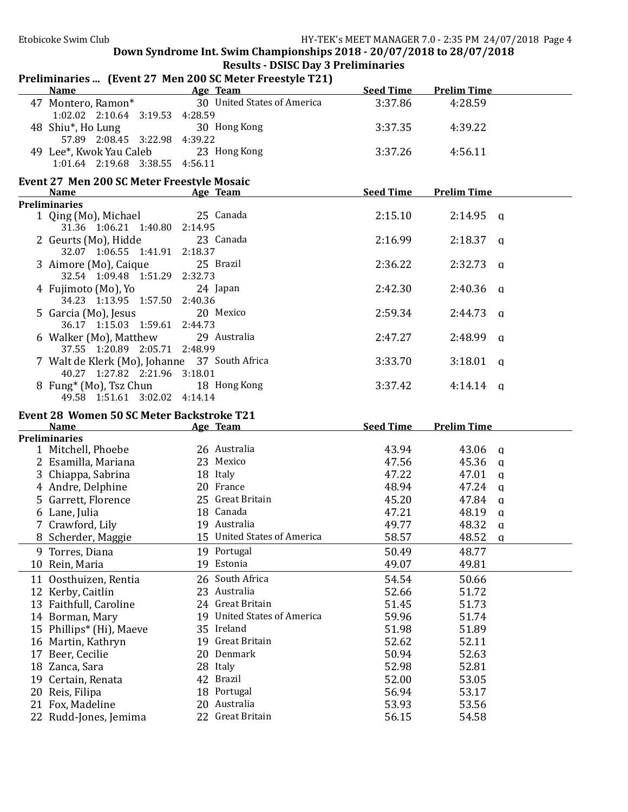|    |                                                                                | Preliminaries  (Event 27 Men 200 SC Meter Freestyle T21) |                  |                       |  |
|----|--------------------------------------------------------------------------------|----------------------------------------------------------|------------------|-----------------------|--|
|    | <b>Name</b>                                                                    | Age Team                                                 | <b>Seed Time</b> | <b>Prelim Time</b>    |  |
|    | 47 Montero, Ramon*<br>1:02.02 2:10.64 3:19.53 4:28.59                          | 30 United States of America                              | 3:37.86          | 4:28.59               |  |
|    | 48 Shiu*, Ho Lung<br>57.89 2:08.45 3:22.98 4:39.22                             | 30 Hong Kong                                             | 3:37.35          | 4:39.22               |  |
|    | 49 Lee*, Kwok Yau Caleb                                                        | 23 Hong Kong                                             | 3:37.26          | 4:56.11               |  |
|    | 1:01.64 2:19.68 3:38.55 4:56.11                                                |                                                          |                  |                       |  |
|    | <b>Event 27 Men 200 SC Meter Freestyle Mosaic</b><br>Name                      | Age Team                                                 | <b>Seed Time</b> | <b>Prelim Time</b>    |  |
|    | <b>Preliminaries</b>                                                           |                                                          |                  |                       |  |
|    | 1 Qing (Mo), Michael<br>31.36 1:06.21 1:40.80 2:14.95                          | 25 Canada                                                | 2:15.10          | $2:14.95$ a           |  |
|    | 2 Geurts (Mo), Hidde<br>32.07 1:06.55 1:41.91 2:18.37                          | 23 Canada                                                | 2:16.99          | $2:18.37$ q           |  |
|    | 3 Aimore (Mo), Caique<br>32.54 1:09.48 1:51.29 2:32.73                         | 25 Brazil                                                | 2:36.22          | $2:32.73$ q           |  |
|    | 4 Fujimoto (Mo), Yo<br>34.23 1:13.95 1:57.50 2:40.36                           | 24 Japan                                                 | 2:42.30          | $2:40.36$ q           |  |
|    | 5 Garcia (Mo), Jesus<br>36.17 1:15.03 1:59.61                                  | 20 Mexico<br>2:44.73                                     | 2:59.34          | $2:44.73$ q           |  |
|    | 6 Walker (Mo), Matthew<br>37.55 1:20.89 2:05.71 2:48.99                        | 29 Australia                                             | 2:47.27          | $2:48.99$ q           |  |
|    | 7 Walt de Klerk (Mo), Johanne 37 South Africa<br>40.27 1:27.82 2:21.96 3:18.01 |                                                          | 3:33.70          | $3:18.01$ q           |  |
|    | 8 Fung <sup>*</sup> (Mo), Tsz Chun<br>49.58 1:51.61 3:02.02 4:14.14            | 18 Hong Kong                                             | 3:37.42          | $4:14.14$ q           |  |
|    |                                                                                |                                                          |                  |                       |  |
|    |                                                                                |                                                          |                  |                       |  |
|    | Event 28 Women 50 SC Meter Backstroke T21<br><b>Name</b>                       | Age Team                                                 | <b>Seed Time</b> | <b>Prelim Time</b>    |  |
|    | <b>Preliminaries</b>                                                           |                                                          |                  |                       |  |
|    | 1 Mitchell, Phoebe                                                             | 26 Australia                                             | 43.94            | 43.06 q               |  |
|    | 2 Esamilla, Mariana                                                            | 23 Mexico                                                | 47.56            | $45.36$ q             |  |
|    | 3 Chiappa, Sabrina                                                             | 18 Italy                                                 | 47.22            | $47.01 \text{ q}$     |  |
|    | 4 Andre, Delphine                                                              | 20 France                                                | 48.94            | $47.24 \text{ } a$    |  |
|    | 5 Garrett, Florence                                                            | 25 Great Britain                                         | 45.20            | 47.84 q               |  |
|    |                                                                                | 18 Canada                                                |                  |                       |  |
|    | 6 Lane, Julia                                                                  | 19 Australia                                             | 47.21            | 48.19<br>$\mathbf{q}$ |  |
|    | 7 Crawford, Lily                                                               |                                                          | 49.77            | 48.32<br>$\mathbf{q}$ |  |
|    | 8 Scherder, Maggie                                                             | 15 United States of America                              | 58.57            | 48.52<br>a            |  |
|    | 9 Torres, Diana<br>10 Rein, Maria                                              | 19 Portugal<br>19 Estonia                                | 50.49<br>49.07   | 48.77<br>49.81        |  |
|    |                                                                                |                                                          |                  |                       |  |
| 11 | Oosthuizen, Rentia                                                             | 26 South Africa                                          | 54.54            | 50.66                 |  |
|    | 12 Kerby, Caitlin                                                              | 23 Australia                                             | 52.66            | 51.72                 |  |
|    | 13 Faithfull, Caroline                                                         | 24 Great Britain                                         | 51.45            | 51.73                 |  |
|    | 14 Borman, Mary                                                                | 19 United States of America                              | 59.96            | 51.74                 |  |
|    | 15 Phillips* (Hi), Maeve                                                       | 35 Ireland                                               | 51.98            | 51.89                 |  |
|    | 16 Martin, Kathryn                                                             | 19 Great Britain                                         | 52.62            | 52.11                 |  |
|    | 17 Beer, Cecilie                                                               | Denmark<br>20                                            | 50.94            | 52.63                 |  |
|    | 18 Zanca, Sara                                                                 | Italy<br>28                                              | 52.98            | 52.81                 |  |
|    | 19 Certain, Renata                                                             | <b>Brazil</b><br>42                                      | 52.00            | 53.05                 |  |
|    | 20 Reis, Filipa                                                                | Portugal<br>18                                           | 56.94            | 53.17                 |  |
|    | 21 Fox, Madeline                                                               | 20 Australia<br>22 Great Britain                         | 53.93            | 53.56                 |  |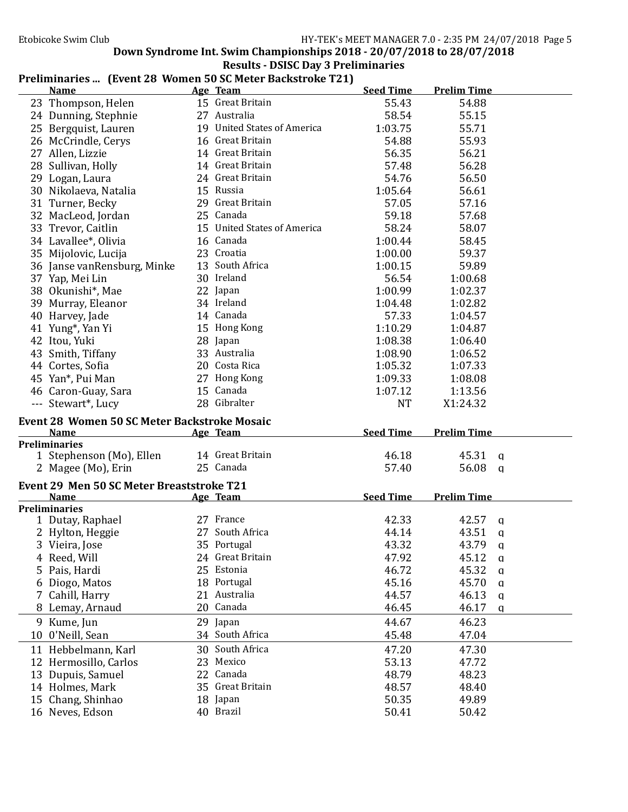# Results - DSISC Day 3 Preliminaries

### Preliminaries ... (Event 28 Women 50 SC Meter Backstroke T21)

| <b>Name</b>                                                     | Age Team                    | <b>Seed Time</b> | <b>Prelim Time</b> |  |
|-----------------------------------------------------------------|-----------------------------|------------------|--------------------|--|
| 23 Thompson, Helen                                              | 15 Great Britain            | 55.43            | 54.88              |  |
| 24 Dunning, Stephnie                                            | 27 Australia                | 58.54            | 55.15              |  |
| 25 Bergquist, Lauren                                            | 19 United States of America | 1:03.75          | 55.71              |  |
| 26 McCrindle, Cerys                                             | 16 Great Britain            | 54.88            | 55.93              |  |
| 27 Allen, Lizzie                                                | 14 Great Britain            | 56.35            | 56.21              |  |
| 28 Sullivan, Holly                                              | 14 Great Britain            | 57.48            | 56.28              |  |
| 29 Logan, Laura                                                 | 24 Great Britain            | 54.76            | 56.50              |  |
| 30 Nikolaeva, Natalia                                           | 15 Russia                   | 1:05.64          | 56.61              |  |
| 31 Turner, Becky                                                | 29 Great Britain            | 57.05            | 57.16              |  |
| 32 MacLeod, Jordan                                              | 25 Canada                   | 59.18            | 57.68              |  |
| 33 Trevor, Caitlin                                              | 15 United States of America | 58.24            | 58.07              |  |
| 34 Lavallee*, Olivia                                            | 16 Canada                   | 1:00.44          | 58.45              |  |
| 35 Mijolovic, Lucija                                            | 23 Croatia                  | 1:00.00          | 59.37              |  |
|                                                                 | 13 South Africa             | 1:00.15          | 59.89              |  |
| 36 Janse vanRensburg, Minke                                     | 30 Ireland                  |                  |                    |  |
| 37 Yap, Mei Lin                                                 |                             | 56.54            | 1:00.68            |  |
| 38 Okunishi*, Mae                                               | 22 Japan                    | 1:00.99          | 1:02.37            |  |
| 39 Murray, Eleanor                                              | 34 Ireland                  | 1:04.48          | 1:02.82            |  |
| 40 Harvey, Jade                                                 | 14 Canada                   | 57.33            | 1:04.57            |  |
| 41 Yung*, Yan Yi                                                | 15 Hong Kong                | 1:10.29          | 1:04.87            |  |
| 42 Itou, Yuki                                                   | 28 Japan                    | 1:08.38          | 1:06.40            |  |
| 43 Smith, Tiffany                                               | 33 Australia                | 1:08.90          | 1:06.52            |  |
| 44 Cortes, Sofia                                                | 20 Costa Rica               | 1:05.32          | 1:07.33            |  |
| 45 Yan*, Pui Man                                                | 27 Hong Kong                | 1:09.33          | 1:08.08            |  |
| 46 Caron-Guay, Sara                                             | 15 Canada                   | 1:07.12          | 1:13.56            |  |
| --- Stewart*, Lucy                                              | 28 Gibralter                | <b>NT</b>        | X1:24.32           |  |
| <b>Event 28 Women 50 SC Meter Backstroke Mosaic</b>             |                             |                  |                    |  |
| <b>Name</b>                                                     | Age Team                    | <b>Seed Time</b> | <b>Prelim Time</b> |  |
| <b>Preliminaries</b>                                            |                             |                  |                    |  |
| 1 Stephenson (Mo), Ellen                                        | 14 Great Britain            | 46.18            | 45.31<br>q         |  |
| 2 Magee (Mo), Erin                                              | 25 Canada                   | 57.40            | 56.08<br>a         |  |
|                                                                 |                             |                  |                    |  |
| <b>Event 29 Men 50 SC Meter Breaststroke T21</b><br><b>Name</b> | Age Team                    | <b>Seed Time</b> | <b>Prelim Time</b> |  |
| <b>Preliminaries</b>                                            |                             |                  |                    |  |
| 1 Dutay, Raphael                                                | 27 France                   | 42.33            | 42.57<br>a         |  |
| 2 Hylton, Heggie                                                | 27 South Africa             | 44.14            | 43.51<br>q         |  |
| 3 Vieira, Jose                                                  | 35 Portugal                 | 43.32            | 43.79<br>$\alpha$  |  |
| 4 Reed, Will                                                    | 24 Great Britain            | 47.92            | 45.12<br>q         |  |
| 5 Pais, Hardi                                                   | 25 Estonia                  | 46.72            | 45.32<br>a         |  |
| 6 Diogo, Matos                                                  | 18 Portugal                 | 45.16            | 45.70<br>q         |  |
| 7 Cahill, Harry                                                 | 21 Australia                | 44.57            | 46.13              |  |
|                                                                 | 20 Canada                   |                  | q                  |  |
| 8 Lemay, Arnaud                                                 |                             | 46.45            | 46.17<br>q         |  |
| 9 Kume, Jun                                                     | 29 Japan                    | 44.67            | 46.23              |  |
| 10 0'Neill, Sean                                                | 34 South Africa             | 45.48            | 47.04              |  |
| 11 Hebbelmann, Karl                                             | 30 South Africa             | 47.20            | 47.30              |  |
| 12 Hermosillo, Carlos                                           | 23 Mexico                   | 53.13            | 47.72              |  |
| 13 Dupuis, Samuel                                               | 22 Canada                   | 48.79            | 48.23              |  |
| 14 Holmes, Mark                                                 | 35 Great Britain            | 48.57            | 48.40              |  |
|                                                                 |                             |                  |                    |  |
| 15 Chang, Shinhao                                               | 18 Japan                    | 50.35            | 49.89              |  |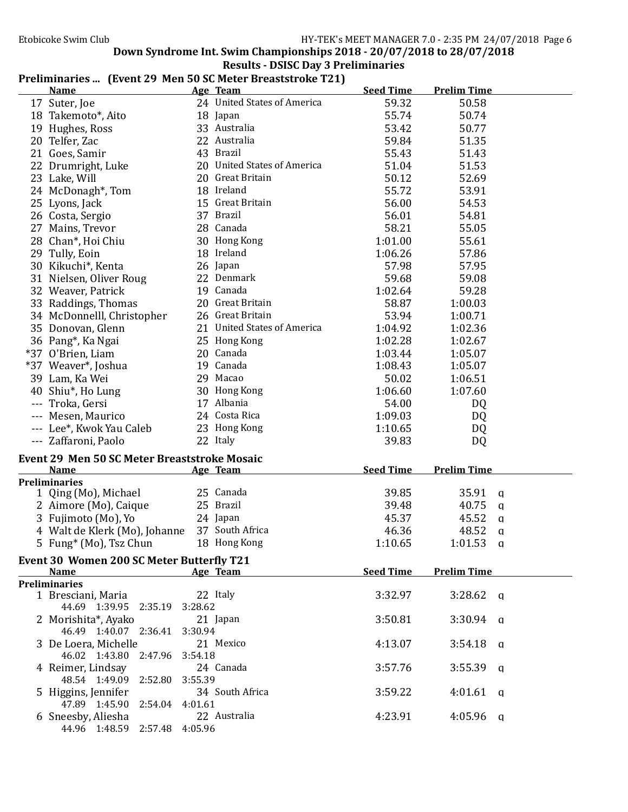# Results - DSISC Day 3 Preliminaries

|  | Preliminaries  (Event 29 Men 50 SC Meter Breaststroke T21) |  |
|--|------------------------------------------------------------|--|
|--|------------------------------------------------------------|--|

| <u>Name</u>                                          |         | I Feminically  [EVEIR 27 MEIL 30 SC METEL DI CASISTI UNE T2T]<br>Age Team | <b>Seed Time</b> | <b>Prelim Time</b> |   |
|------------------------------------------------------|---------|---------------------------------------------------------------------------|------------------|--------------------|---|
| 17 Suter, Joe                                        |         | 24 United States of America                                               | 59.32            | 50.58              |   |
| 18 Takemoto*, Aito                                   |         | 18 Japan                                                                  | 55.74            | 50.74              |   |
| 19 Hughes, Ross                                      |         | 33 Australia                                                              | 53.42            | 50.77              |   |
| 20 Telfer, Zac                                       |         | 22 Australia                                                              | 59.84            | 51.35              |   |
| 21 Goes, Samir                                       |         | 43 Brazil                                                                 | 55.43            | 51.43              |   |
| 22 Drumright, Luke                                   |         | 20 United States of America                                               | 51.04            | 51.53              |   |
| 23 Lake, Will                                        |         | 20 Great Britain                                                          | 50.12            | 52.69              |   |
| 24 McDonagh*, Tom                                    |         | 18 Ireland                                                                | 55.72            | 53.91              |   |
| 25 Lyons, Jack                                       |         | 15 Great Britain                                                          | 56.00            | 54.53              |   |
| 26 Costa, Sergio                                     |         | 37 Brazil                                                                 | 56.01            | 54.81              |   |
| 27 Mains, Trevor                                     |         | 28 Canada                                                                 | 58.21            | 55.05              |   |
| 28 Chan*, Hoi Chiu                                   |         | 30 Hong Kong                                                              | 1:01.00          | 55.61              |   |
| 29 Tully, Eoin                                       |         | 18 Ireland                                                                | 1:06.26          | 57.86              |   |
| 30 Kikuchi*, Kenta                                   |         | 26 Japan                                                                  | 57.98            | 57.95              |   |
| 31 Nielsen, Oliver Roug                              |         | 22 Denmark                                                                | 59.68            | 59.08              |   |
| 32 Weaver, Patrick                                   |         | 19 Canada                                                                 | 1:02.64          | 59.28              |   |
| 33 Raddings, Thomas                                  |         | 20 Great Britain                                                          | 58.87            | 1:00.03            |   |
| 34 McDonnelll, Christopher                           |         | 26 Great Britain                                                          | 53.94            | 1:00.71            |   |
| 35 Donovan, Glenn                                    |         | 21 United States of America                                               | 1:04.92          | 1:02.36            |   |
| 36 Pang*, Ka Ngai                                    |         | 25 Hong Kong                                                              | 1:02.28          | 1:02.67            |   |
| *37 O'Brien, Liam                                    |         | 20 Canada                                                                 | 1:03.44          | 1:05.07            |   |
| *37 Weaver*, Joshua                                  |         | 19 Canada                                                                 | 1:08.43          | 1:05.07            |   |
| 39 Lam, Ka Wei                                       |         | 29 Macao                                                                  | 50.02            | 1:06.51            |   |
| 40 Shiu*, Ho Lung                                    |         | 30 Hong Kong                                                              | 1:06.60          | 1:07.60            |   |
| --- Troka, Gersi                                     |         | 17 Albania                                                                | 54.00            | DQ                 |   |
| --- Mesen, Maurico                                   |         | 24 Costa Rica                                                             | 1:09.03          | DQ                 |   |
| --- Lee*, Kwok Yau Caleb                             |         | 23 Hong Kong                                                              | 1:10.65          | DQ                 |   |
| --- Zaffaroni, Paolo                                 |         | 22 Italy                                                                  | 39.83            | DQ                 |   |
| <b>Event 29 Men 50 SC Meter Breaststroke Mosaic</b>  |         |                                                                           |                  |                    |   |
| <b>Name</b>                                          |         | Age Team                                                                  | <b>Seed Time</b> | <b>Prelim Time</b> |   |
| <b>Preliminaries</b>                                 |         |                                                                           |                  |                    |   |
| 1 Qing (Mo), Michael                                 |         | 25 Canada                                                                 | 39.85            | 35.91              | q |
| 2 Aimore (Mo), Caique                                |         | 25 Brazil                                                                 | 39.48            | 40.75              | a |
| 3 Fujimoto (Mo), Yo                                  |         | 24 Japan                                                                  | 45.37            | 45.52              | q |
| 4 Walt de Klerk (Mo), Johanne                        |         | 37 South Africa                                                           | 46.36            | 48.52              | q |
| 5 Fung <sup>*</sup> (Mo), Tsz Chun                   |         | 18 Hong Kong                                                              | 1:10.65          | $1:01.53$ q        |   |
| Event 30 Women 200 SC Meter Butterfly T21            |         |                                                                           |                  |                    |   |
| <b>Name</b>                                          |         | Age Team                                                                  | <b>Seed Time</b> | <b>Prelim Time</b> |   |
| <b>Preliminaries</b>                                 |         |                                                                           |                  |                    |   |
| 1 Bresciani, Maria                                   |         | 22 Italy                                                                  | 3:32.97          | $3:28.62$ a        |   |
| 44.69 1:39.95 2:35.19                                | 3:28.62 |                                                                           |                  |                    |   |
| 2 Morishita*, Ayako                                  |         | 21 Japan                                                                  | 3:50.81          | $3:30.94$ a        |   |
| 46.49 1:40.07 2:36.41                                | 3:30.94 |                                                                           |                  |                    |   |
| 3 De Loera, Michelle                                 |         | 21 Mexico                                                                 | 4:13.07          | $3:54.18$ q        |   |
| 46.02 1:43.80 2:47.96                                | 3:54.18 |                                                                           |                  |                    |   |
| 4 Reimer, Lindsay                                    |         | 24 Canada                                                                 | 3:57.76          | $3:55.39$ q        |   |
| 48.54 1:49.09 2:52.80                                | 3:55.39 |                                                                           |                  |                    |   |
| 5 Higgins, Jennifer<br>47.89 1:45.90 2:54.04 4:01.61 |         | 34 South Africa                                                           | 3:59.22          | $4:01.61$ a        |   |
| 6 Sneesby, Aliesha                                   |         | 22 Australia                                                              | 4:23.91          | $4:05.96$ a        |   |
| 44.96 1:48.59 2:57.48 4:05.96                        |         |                                                                           |                  |                    |   |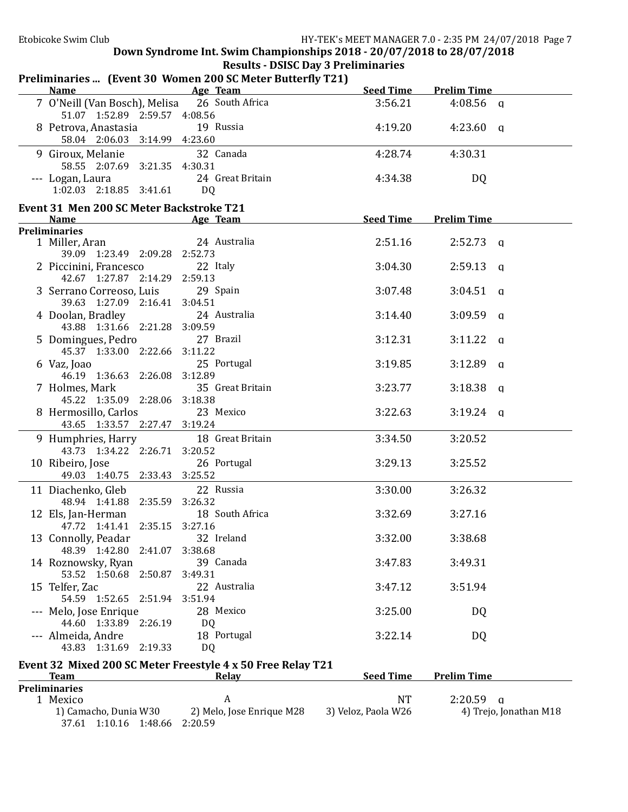| Name<br><b>Example 2</b> Age Team           | Preliminaries  (Event 30 Women 200 SC Meter Butterfly T21)  | Seed Time           | <b>Prelim Time</b>     |
|---------------------------------------------|-------------------------------------------------------------|---------------------|------------------------|
| 7 O'Neill (Van Bosch), Melisa               | 26 South Africa                                             | 3:56.21             | $4:08.56$ q            |
| 51.07 1:52.89 2:59.57 4:08.56               |                                                             |                     |                        |
| 8 Petrova, Anastasia                        | 19 Russia                                                   | 4:19.20             | $4:23.60$ q            |
| 58.04 2:06.03 3:14.99 4:23.60               |                                                             |                     |                        |
| 9 Giroux, Melanie                           | 32 Canada                                                   | 4:28.74             | 4:30.31                |
| 58.55 2:07.69 3:21.35 4:30.31               |                                                             |                     |                        |
| --- Logan, Laura                            | 24 Great Britain                                            | 4:34.38             | DQ                     |
| 1:02.03 2:18.85 3:41.61                     | DQ                                                          |                     |                        |
| Event 31 Men 200 SC Meter Backstroke T21    |                                                             |                     |                        |
| Name                                        | Age Team                                                    | Seed Time           | <b>Prelim Time</b>     |
| <b>Preliminaries</b>                        |                                                             |                     |                        |
| 1 Miller, Aran                              | 24 Australia                                                | 2:51.16             | $2:52.73$ a            |
| 39.09 1:23.49 2:09.28 2:52.73               |                                                             |                     |                        |
| 2 Piccinini, Francesco                      | 22 Italy                                                    | 3:04.30             | $2:59.13$ q            |
| 42.67 1:27.87 2:14.29 2:59.13               |                                                             |                     |                        |
| 3 Serrano Correoso, Luis                    | 29 Spain                                                    | 3:07.48             | $3:04.51$ q            |
| 39.63 1:27.09 2:16.41 3:04.51               |                                                             |                     |                        |
| 4 Doolan, Bradley                           | 24 Australia                                                | 3:14.40             | $3:09.59$ q            |
| 43.88 1:31.66 2:21.28 3:09.59               |                                                             |                     |                        |
| 5 Domingues, Pedro                          | 27 Brazil                                                   | 3:12.31             | $3:11.22$ q            |
| 45.37 1:33.00 2:22.66 3:11.22               |                                                             |                     |                        |
| 6 Vaz, Joao                                 | 25 Portugal                                                 | 3:19.85             | $3:12.89$ q            |
| 46.19 1:36.63 2:26.08 3:12.89               |                                                             |                     |                        |
| 7 Holmes, Mark                              | 35 Great Britain                                            | 3:23.77             | $3:18.38$ q            |
| 45.22 1:35.09 2:28.06 3:18.38               |                                                             |                     |                        |
| 8 Hermosillo, Carlos                        | 23 Mexico                                                   | 3:22.63             | $3:19.24$ a            |
| 43.65 1:33.57 2:27.47 3:19.24               |                                                             |                     |                        |
| 9 Humphries, Harry                          | 18 Great Britain                                            | 3:34.50             | 3:20.52                |
| 43.73 1:34.22 2:26.71 3:20.52               |                                                             |                     |                        |
| 10 Ribeiro, Jose                            | 26 Portugal                                                 | 3:29.13             | 3:25.52                |
| 49.03 1:40.75 2:33.43 3:25.52               |                                                             |                     |                        |
| 11 Diachenko, Gleb                          | 22 Russia                                                   | 3:30.00             | 3:26.32                |
| 48.94 1:41.88 2:35.59 3:26.32               |                                                             |                     |                        |
| 12 Els, Jan-Herman                          | 18 South Africa                                             | 3:32.69             | 3:27.16                |
| 47.72 1:41.41 2:35.15 3:27.16               |                                                             |                     |                        |
| 13 Connolly, Peadar                         | 32 Ireland                                                  | 3:32.00             | 3:38.68                |
| 48.39 1:42.80 2:41.07                       | 3:38.68<br>39 Canada                                        |                     | 3:49.31                |
| 14 Roznowsky, Ryan<br>53.52 1:50.68 2:50.87 | 3:49.31                                                     | 3:47.83             |                        |
| 15 Telfer, Zac                              | 22 Australia                                                | 3:47.12             | 3:51.94                |
| 54.59 1:52.65 2:51.94 3:51.94               |                                                             |                     |                        |
| --- Melo, Jose Enrique                      | 28 Mexico                                                   | 3:25.00             | DQ                     |
| 44.60 1:33.89 2:26.19                       | DQ                                                          |                     |                        |
| --- Almeida, Andre                          | 18 Portugal                                                 | 3:22.14             | DQ                     |
| 43.83 1:31.69 2:19.33                       | DQ                                                          |                     |                        |
|                                             |                                                             |                     |                        |
|                                             | Event 32 Mixed 200 SC Meter Freestyle 4 x 50 Free Relay T21 | <b>Seed Time</b>    | <b>Prelim Time</b>     |
| <b>Team</b><br><b>Preliminaries</b>         | <u>Relay</u>                                                |                     |                        |
| 1 Mexico                                    | A                                                           | <b>NT</b>           | $2:20.59$ q            |
| 1) Camacho, Dunia W30                       | 2) Melo, Jose Enrique M28                                   | 3) Veloz, Paola W26 | 4) Trejo, Jonathan M18 |
| 37.61 1:10.16 1:48.66 2:20.59               |                                                             |                     |                        |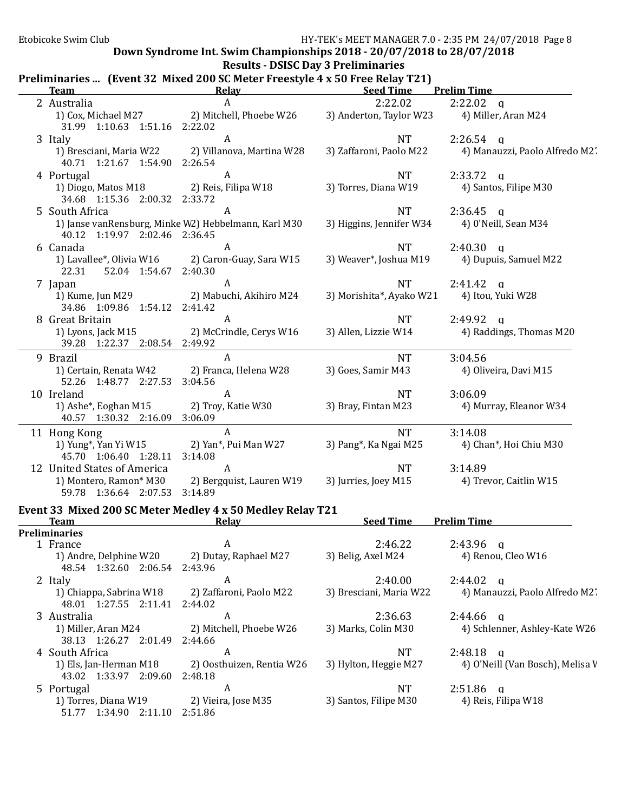51.77 1:34.90 2:11.10 2:51.86

#### Down Syndrome Int. Swim Championships  $2018 - 20/07/2018$  to  $28/07/2018$

Results - DSISC Day 3 Preliminaries

|  |  | Preliminaries  (Event 32 Mixed 200 SC Meter Freestyle 4 x 50 Free Relay T21) |  |
|--|--|------------------------------------------------------------------------------|--|
|--|--|------------------------------------------------------------------------------|--|

| <b>Team</b>                                                | Relay                                                                      | <b>Seed Time</b>         | <b>Prelim Time</b>               |
|------------------------------------------------------------|----------------------------------------------------------------------------|--------------------------|----------------------------------|
| 2 Australia                                                | $\boldsymbol{A}$                                                           | 2:22.02                  | $2:22.02$ q                      |
| 1) Cox, Michael M27<br>31.99 1:10.63 1:51.16 2:22.02       | 2) Mitchell, Phoebe W26                                                    | 3) Anderton, Taylor W23  | 4) Miller, Aran M24              |
| 3 Italy                                                    | $\boldsymbol{A}$                                                           | <b>NT</b>                | $2:26.54$ q                      |
| 1) Bresciani, Maria W22<br>40.71 1:21.67 1:54.90 2:26.54   | 2) Villanova, Martina W28                                                  | 3) Zaffaroni, Paolo M22  | 4) Manauzzi, Paolo Alfredo M2'.  |
| 4 Portugal                                                 | $\boldsymbol{A}$                                                           | <b>NT</b>                | $2:33.72$ q                      |
| 1) Diogo, Matos M18<br>34.68 1:15.36 2:00.32 2:33.72       | 2) Reis, Filipa W18                                                        | 3) Torres, Diana W19     | 4) Santos, Filipe M30            |
| 5 South Africa                                             | A                                                                          | <b>NT</b>                | $2:36.45$ a                      |
| 40.12 1:19.97 2:02.46 2:36.45                              | 1) Janse vanRensburg, Minke W2) Hebbelmann, Karl M30                       | 3) Higgins, Jennifer W34 | 4) 0'Neill, Sean M34             |
| 6 Canada                                                   | A                                                                          | <b>NT</b>                | $2:40.30$ q                      |
| 1) Lavallee*, Olivia W16<br>22.31<br>52.04 1:54.67 2:40.30 | 2) Caron-Guay, Sara W15                                                    | 3) Weaver*, Joshua M19   | 4) Dupuis, Samuel M22            |
| 7 Japan                                                    | A                                                                          | <b>NT</b>                | $2:41.42$ a                      |
| 1) Kume, Jun M29<br>34.86 1:09.86 1:54.12 2:41.42          | 2) Mabuchi, Akihiro M24                                                    | 3) Morishita*, Ayako W21 | 4) Itou, Yuki W28                |
| 8 Great Britain                                            | A                                                                          | <b>NT</b>                | 2:49.92<br>$\alpha$              |
| 1) Lyons, Jack M15<br>39.28 1:22.37 2:08.54 2:49.92        | 2) McCrindle, Cerys W16                                                    | 3) Allen, Lizzie W14     | 4) Raddings, Thomas M20          |
| 9 Brazil                                                   | $\mathsf{A}$                                                               | <b>NT</b>                | 3:04.56                          |
| 1) Certain, Renata W42<br>52.26 1:48.77 2:27.53            | 2) Franca, Helena W28<br>3:04.56                                           | 3) Goes, Samir M43       | 4) Oliveira, Davi M15            |
| 10 Ireland                                                 | A                                                                          | <b>NT</b>                | 3:06.09                          |
| 1) Ashe*, Eoghan M15<br>40.57 1:30.32 2:16.09              | 2) Troy, Katie W30<br>3:06.09                                              | 3) Bray, Fintan M23      | 4) Murray, Eleanor W34           |
| 11 Hong Kong                                               | A                                                                          | <b>NT</b>                | 3:14.08                          |
| 1) Yung*, Yan Yi W15<br>45.70 1:06.40 1:28.11              | 2) Yan*, Pui Man W27<br>3:14.08                                            | 3) Pang*, Ka Ngai M25    | 4) Chan*, Hoi Chiu M30           |
| 12 United States of America                                | A                                                                          | <b>NT</b>                | 3:14.89                          |
| 1) Montero, Ramon* M30<br>59.78 1:36.64 2:07.53 3:14.89    | 2) Bergquist, Lauren W19                                                   | 3) Jurries, Joey M15     | 4) Trevor, Caitlin W15           |
| <b>Team</b>                                                | Event 33 Mixed 200 SC Meter Medley 4 x 50 Medley Relay T21<br><b>Relay</b> | <b>Seed Time</b>         | <b>Prelim Time</b>               |
| <b>Preliminaries</b>                                       |                                                                            |                          |                                  |
| 1 France                                                   | A                                                                          | 2:46.22                  | $2:43.96$ a                      |
| 1) Andre, Delphine W20<br>48.54 1:32.60 2:06.54            | 2) Dutay, Raphael M27<br>2:43.96                                           | 3) Belig, Axel M24       | 4) Renou, Cleo W16               |
| 2 Italy                                                    | A                                                                          | 2:40.00                  | 2:44.02<br>$\alpha$              |
| 1) Chiappa, Sabrina W18<br>48.01 1:27.55 2:11.41           | 2) Zaffaroni, Paolo M22<br>2:44.02                                         | 3) Bresciani, Maria W22  | 4) Manauzzi, Paolo Alfredo M2.   |
| 3 Australia                                                | A                                                                          | 2:36.63                  | 2:44.66<br>$\mathbf q$           |
| 1) Miller, Aran M24<br>38.13 1:26.27 2:01.49               | 2) Mitchell, Phoebe W26<br>2:44.66                                         | 3) Marks, Colin M30      | 4) Schlenner, Ashley-Kate W26    |
| 4 South Africa                                             | A                                                                          | <b>NT</b>                | $2:48.18$ a                      |
| 1) Els, Jan-Herman M18<br>43.02 1:33.97 2:09.60            | 2) Oosthuizen, Rentia W26<br>2:48.18                                       | 3) Hylton, Heggie M27    | 4) O'Neill (Van Bosch), Melisa V |

5 Portugal A NT 2:51.86 q 1) Torres, Diana W19 2) Vieira, Jose M35 3) Santos, Filipe M30 4) Reis, Filipa W18